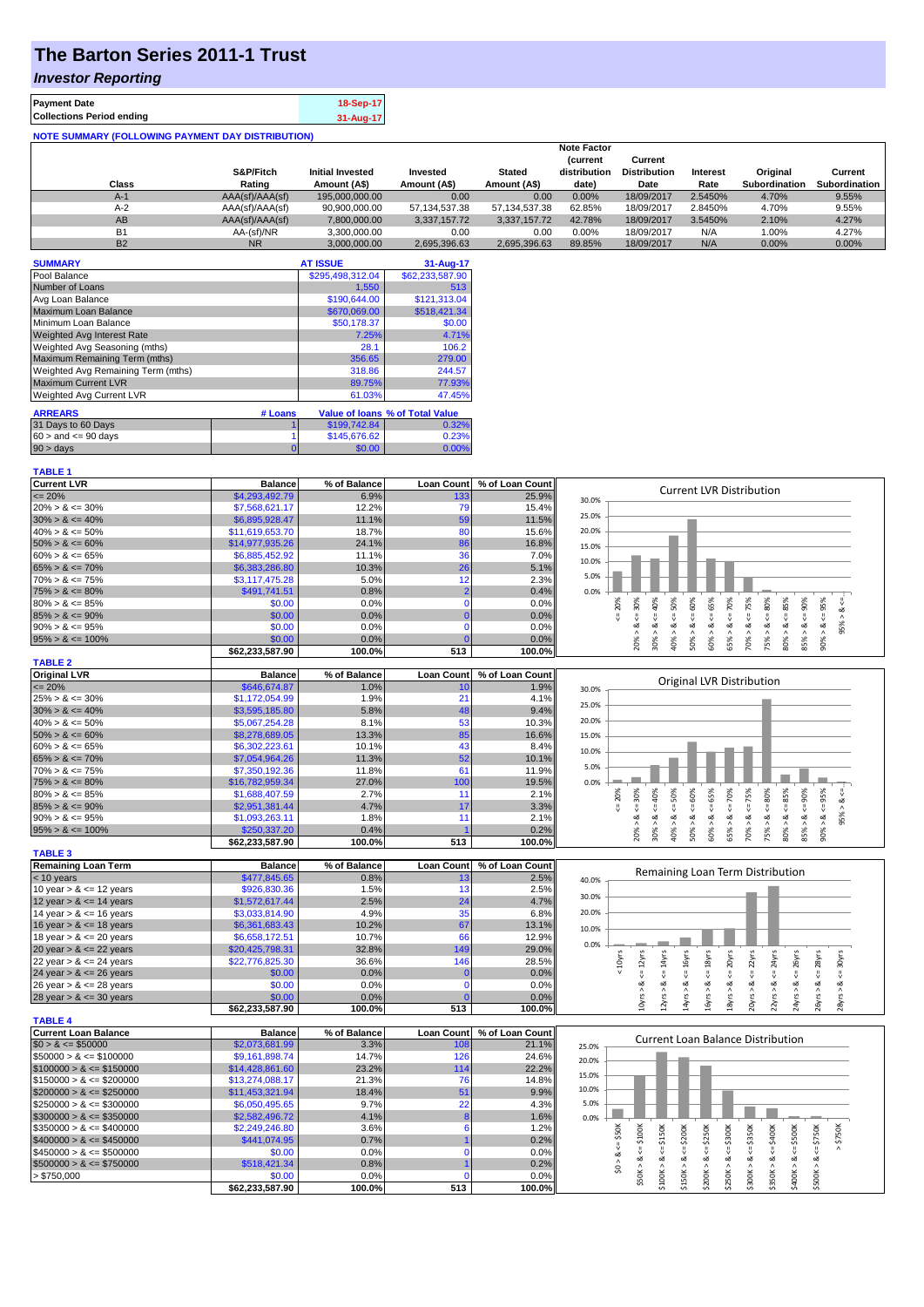# **The Barton Series 2011-1 Trust**

### *Investor Reporting*

| <b>Payment Date</b>                                      | 18-Sep-17 |
|----------------------------------------------------------|-----------|
| <b>Collections Period ending</b>                         | 31-Aug-17 |
| <b>NOTE SUMMARY (FOLLOWING PAYMENT DAY DISTRIBUTION)</b> |           |

|              |                 |                         |               |               | <b>Note Factor</b> |                     |                 |                      |               |
|--------------|-----------------|-------------------------|---------------|---------------|--------------------|---------------------|-----------------|----------------------|---------------|
|              |                 |                         |               |               | <b>Current</b>     | Current             |                 |                      |               |
|              | S&P/Fitch       | <b>Initial Invested</b> | Invested      | <b>Stated</b> | distribution       | <b>Distribution</b> | <b>Interest</b> | Original             | Current       |
| <b>Class</b> | Rating          | Amount (A\$)            | Amount (A\$)  | Amount (A\$)  | date)              | Date                | Rate            | <b>Subordination</b> | Subordination |
| $A-1$        | AAA(sf)/AAA(sf) | 195.000.000.00          | 0.00          | 0.00          | 0.00%              | 18/09/2017          | 2.5450%         | 4.70%                | 9.55%         |
| $A-2$        | AAA(sf)/AAA(sf) | 90.900.000.00           | 57.134.537.38 | 57.134.537.38 | 62.85%             | 18/09/2017          | 2.8450%         | 4.70%                | 9.55%         |
| AB           | AAA(sf)/AAA(sf) | 7.800.000.00            | 3.337.157.72  | 3.337.157.72  | 42.78%             | 18/09/2017          | 3.5450%         | 2.10%                | 4.27%         |
| <b>B1</b>    | AA-(sf)/NR      | 3.300.000.00            | 0.00          | 0.00          | 0.00%              | 18/09/2017          | N/A             | 1.00%                | 4.27%         |
| <b>B2</b>    | <b>NR</b>       | 3.000.000.00            | 2,695,396.63  | 2.695.396.63  | 89.85%             | 18/09/2017          | N/A             | 0.00%                | 0.00%         |

| <b>SUMMARY</b>                     |         | <b>AT ISSUE</b>  | 31-Aug-17                              |
|------------------------------------|---------|------------------|----------------------------------------|
| Pool Balance                       |         | \$295,498,312.04 | \$62,233,587.90                        |
| Number of Loans                    |         | 1.550            | 513                                    |
| Avg Loan Balance                   |         | \$190,644.00     | \$121,313.04                           |
| Maximum Loan Balance               |         | \$670,069.00     | \$518,421.34                           |
| Minimum Loan Balance               |         | \$50,178.37      | \$0.00                                 |
| <b>Weighted Avg Interest Rate</b>  |         | 7.25%            | 4.71%                                  |
| Weighted Avg Seasoning (mths)      |         | 28.1             | 106.2                                  |
| Maximum Remaining Term (mths)      |         | 356.65           | 279.00                                 |
| Weighted Avg Remaining Term (mths) |         | 318.86           | 244.57                                 |
| <b>Maximum Current LVR</b>         |         | 89.75%           | 77.93%                                 |
| Weighted Avg Current LVR           |         | 61.03%           | 47.45%                                 |
| <b>ARREARS</b>                     | # Loans |                  | <b>Value of loans % of Total Value</b> |

| <b>ARREARS</b>            | # Loans |              | value of Joans % of Total value |
|---------------------------|---------|--------------|---------------------------------|
| 31 Days to 60 Days        |         | \$199,742,84 | 0.32%                           |
| $60 >$ and $\leq 90$ days |         | \$145,676,62 | 0.23%                           |
| $90 > \text{days}$        |         | 0.001        | $0.00\%$                        |

| <b>TABLE 1</b>              |                           |                |                   |                 |                                                                                                                                                                                                                                                     |
|-----------------------------|---------------------------|----------------|-------------------|-----------------|-----------------------------------------------------------------------------------------------------------------------------------------------------------------------------------------------------------------------------------------------------|
| <b>Current LVR</b>          | <b>Balance</b>            | % of Balance   | Loan Count        | % of Loan Count | <b>Current LVR Distribution</b>                                                                                                                                                                                                                     |
| $\leq$ 20%                  | \$4,293,492.79            | 6.9%           | 133               | 25.9%           | 30.0%                                                                                                                                                                                                                                               |
| $20\% > 8 \le 30\%$         | \$7,568,621.17            | 12.2%          | 79                | 15.4%           |                                                                                                                                                                                                                                                     |
| $30\% > 8 \le 40\%$         | \$6,895,928.47            | 11.1%          | 59                | 11.5%           | 25.0%                                                                                                                                                                                                                                               |
| $40\% > 8 \le 50\%$         | \$11,619,653.70           | 18.7%          | 80                | 15.6%           | 20.0%                                                                                                                                                                                                                                               |
| $50\% > 8 \le 60\%$         | \$14,977,935.26           | 24.1%          | 86                | 16.8%           | 15.0%                                                                                                                                                                                                                                               |
| $60\% > 8 \le 65\%$         | \$6,885,452.92            | 11.1%          | 36                | 7.0%            | 10.0%                                                                                                                                                                                                                                               |
| $65\% > 8 \le 70\%$         | \$6,383,286.80            | 10.3%          | 26                | 5.1%            |                                                                                                                                                                                                                                                     |
| $70\% > 8 \le 75\%$         | \$3,117,475.28            | 5.0%           | 12                | 2.3%            | 5.0%                                                                                                                                                                                                                                                |
| $75\% > 8 \le 80\%$         | \$491,741.51              | 0.8%           | $\overline{2}$    | 0.4%            | 0.0%                                                                                                                                                                                                                                                |
| $80\% > 8 \le 85\%$         | \$0.00                    | 0.0%           | $\Omega$          | 0.0%            | $8 = 30%$<br>40%<br>$<=$ 50%<br>$8 \le 60\%$<br>55%<br>70%<br>$4 = 75%$<br>$8 \le 90\%$<br>20%<br>IJ                                                                                                                                                |
| $85\% > 8 \le 90\%$         | \$0.00                    | 0.0%           | $\mathbf{0}$      | 0.0%            | $8 - 80%$<br>ಷ<br>쁬<br>$<=$                                                                                                                                                                                                                         |
| $90\% > 8 \le 95\%$         | \$0.00                    | 0.0%           | $\Omega$          | 0.0%            | 95% ><br>ż<br>ઌ<br>ઌૻ<br>ઌૻ                                                                                                                                                                                                                         |
| $95\% > 8 \le 100\%$        | \$0.00                    | 0.0%           | $\sqrt{ }$        | 0.0%            | $80\% > 8 <= 85\%$<br>$90\% > 8 <= 95\%$<br>70% > 1<br>75% > 3<br>20% ><br>40% ><br>50% ><br>85% ><br>30% ><br>60% ><br>65% >                                                                                                                       |
|                             | \$62,233,587.90           | 100.0%         | 513               | 100.0%          |                                                                                                                                                                                                                                                     |
| <b>TABLE 2</b>              |                           |                |                   |                 |                                                                                                                                                                                                                                                     |
| <b>Original LVR</b>         | <b>Balance</b>            | % of Balance   | <b>Loan Count</b> | % of Loan Count | Original LVR Distribution                                                                                                                                                                                                                           |
| $\leq$ 20%                  | \$646,674.87              | 1.0%           | 10                | 1.9%            | 30.0%                                                                                                                                                                                                                                               |
| $25\% > 8 \le 30\%$         | \$1,172,054.99            | 1.9%           | 21                | 4.1%            | 25.0%                                                                                                                                                                                                                                               |
| $30\% > 8 \le 40\%$         | \$3,595,185.80            | 5.8%           | 48                | 9.4%            |                                                                                                                                                                                                                                                     |
| $40\% > 8 \le 50\%$         | \$5,067,254.28            | 8.1%           | 53                | 10.3%           | 20.0%                                                                                                                                                                                                                                               |
| $50\% > 8 \le 60\%$         | \$8,278,689.05            | 13.3%          | 85                | 16.6%           | 15.0%                                                                                                                                                                                                                                               |
| $60\% > 8 \le 65\%$         | \$6,302,223.61            | 10.1%          | 43                | 8.4%            | 10.0%                                                                                                                                                                                                                                               |
| $65\% > 8 \le 70\%$         | \$7,054,964.26            | 11.3%          | 52                | 10.1%           |                                                                                                                                                                                                                                                     |
| $70\% > 8 \le 75\%$         | \$7,350,192.36            | 11.8%          | 61                | 11.9%           | 5.0%                                                                                                                                                                                                                                                |
| $75\% > 8 \le 80\%$         | \$16,782,959.34           | 27.0%          | 100               | 19.5%           | 0.0%                                                                                                                                                                                                                                                |
| $80\% > 8 \le 85\%$         | \$1,688,407.59            | 2.7%           | 11                | 2.1%            | $<=60%$<br>$<=80\%$<br>$8 \le 85\%$<br>$8 - 90\%$<br>$4 = 30\%$<br>$8 \le 50\%$<br>$<=65%$<br>$8 < = 70\%$<br>$84 = 75%$<br>$<=95\%$<br>40%<br>20%<br>V                                                                                             |
| $85\% > 8 \le 90\%$         | \$2,951,381.44            | 4.7%           | 17                | 3.3%            | 8 < 1                                                                                                                                                                                                                                               |
| $90\% > 8 \le 95\%$         | \$1,093,263.11            | 1.8%           | 11                | 2.1%            | 95% > 8<br>ಷ                                                                                                                                                                                                                                        |
| $95\% > 8 \le 100\%$        | \$250,337.20              | 0.4%           |                   | 0.2%            | 20% ><br>$40\%$ $>$<br>$50\%$ ><br>$60\%$ $>$<br>65% ><br>70% ><br>75% ><br>80%<br>85% ><br>90% ><br>$30\%$ $>$                                                                                                                                     |
|                             | \$62,233,587.90           | 100.0%         | 513               | 100.0%          |                                                                                                                                                                                                                                                     |
| <b>TABLE 3</b>              |                           |                |                   |                 |                                                                                                                                                                                                                                                     |
| <b>Remaining Loan Term</b>  | <b>Balance</b>            | % of Balance   | <b>Loan Count</b> | % of Loan Count | Remaining Loan Term Distribution                                                                                                                                                                                                                    |
| < 10 years                  | \$477,845.65              | 0.8%           | 13                | 2.5%            | 40.0%                                                                                                                                                                                                                                               |
| 10 year $> 8 \le 12$ years  | \$926,830.36              | 1.5%           | 13                | 2.5%            | 30.0%                                                                                                                                                                                                                                               |
| 12 year $> 8 \le 14$ years  | \$1,572,617.44            | 2.5%           | 24                | 4.7%            |                                                                                                                                                                                                                                                     |
| 14 year $> 8 \le 16$ years  | \$3,033,814.90            | 4.9%           | 35                | 6.8%            | 20.0%                                                                                                                                                                                                                                               |
| 16 year $> 8 \le 18$ years  | \$6,361,683.43            | 10.2%          | 67                | 13.1%           | 10.0%                                                                                                                                                                                                                                               |
| 18 year $> 8 \le 20$ years  | \$6,658,172.51            | 10.7%          | 66                | 12.9%           | 0.0%                                                                                                                                                                                                                                                |
| 20 year $> 8 \le 22$ years  | \$20,425,798.31           | 32.8%          | 149               | 29.0%           |                                                                                                                                                                                                                                                     |
| 22 year $> 8 \le 24$ years  | \$22,776,825.30           | 36.6%          | 146               | 28.5%           | $< 10$ yrs<br>$\epsilon$ = 12 $\gamma$ rs<br>$\leq 14$ yrs<br>$< = 16yrs$<br>$\leq 18$ yrs<br>$\leq$ 20 $\gamma$ rs<br>$\epsilon$ = 22 $\gamma$ rs<br>$\leq$ = 24yrs<br>$\epsilon$ = 26yrs<br>$\epsilon$ = $28\gamma$ rs<br>$\leq$ = 30 $\gamma$ rs |
| 24 year $> 8 \le 26$ years  | \$0.00                    | 0.0%           | C                 | 0.0%            | ಹ<br>ઌ<br>ઌ<br>ಷ<br>œ<br>œ                                                                                                                                                                                                                          |
| 26 year $> 8 \le 28$ years  | \$0.00                    | 0.0%           | $\Omega$          | 0.0%            |                                                                                                                                                                                                                                                     |
| 28 year $> 8 \le 30$ years  | \$0.00<br>\$62,233,587.90 | 0.0%<br>100.0% | -C<br>513         | 0.0%<br>100.0%  | $12 \gamma$ rs > &<br>$10$ yrs > &<br>$14$ yrs > &<br>16yrs > 8<br>18yrs > i<br>20yrs > 8<br>22yrs ><br>24yrs ><br>26yrs > i<br>28yrs >                                                                                                             |
| <b>TABLE 4</b>              |                           |                |                   |                 |                                                                                                                                                                                                                                                     |
| <b>Current Loan Balance</b> | <b>Balance</b>            | % of Balance   | <b>Loan Count</b> | % of Loan Count |                                                                                                                                                                                                                                                     |
| $$0 > 8 \le $50000$         | \$2,073,681.99            | 3.3%           | 108               | 21.1%           | Current Loan Balance Distribution<br>25.0%                                                                                                                                                                                                          |
| $$50000 > 8 \le $100000$    | \$9,161,898.74            | 14.7%          | 126               | 24.6%           |                                                                                                                                                                                                                                                     |
| $$100000 > 8 \le $150000$   | \$14,428,861.60           | 23.2%          | 114               | 22.2%           | 20.0%                                                                                                                                                                                                                                               |
| $$150000 > 8 \leq $200000$  | \$13,274,088.17           | 21.3%          | 76                | 14.8%           | 15.0%                                                                                                                                                                                                                                               |
| $$200000 > 8 \leq $250000$  | \$11,453,321.94           | 18.4%          | 51                | 9.9%            | 10.0%                                                                                                                                                                                                                                               |
| $$250000 > 8 \leq $300000$  | \$6,050,495.65            | 9.7%           | 22                | 4.3%            | 5.0%                                                                                                                                                                                                                                                |
| $$300000 > 8 \leq $350000$  | \$2,582,496.72            | 4.1%           | $\overline{8}$    | 1.6%            | 0.0%                                                                                                                                                                                                                                                |
| $$350000 > 8 \leq $400000$  | \$2,249,246.80            | 3.6%           | $6\phantom{1}6$   | 1.2%            |                                                                                                                                                                                                                                                     |
| $$400000 > 8 \leq $450000$  | \$441,074.95              | 0.7%           |                   | 0.2%            | $$0 > 8 <= $50K$$<br>$$50K > 8 <= $100K$<br>\$750K                                                                                                                                                                                                  |
| $$450000 > 8 \leq $500000$  | \$0.00                    | 0.0%           | $\Omega$          | 0.0%            |                                                                                                                                                                                                                                                     |
| $$500000 > 8 \le $750000$   | \$518,421.34              | 0.8%           |                   | 0.2%            |                                                                                                                                                                                                                                                     |
| > \$750,000                 | \$0.00                    | 0.0%           | $\Omega$          | 0.0%            |                                                                                                                                                                                                                                                     |
|                             | \$62,233,587.90           | 100.0%         | 513               | 100.0%          | $$100K > <= $150K$<br>$$150K > 8 <= $200K$<br>$$200K > 8 \le = $250K$<br>$$250K > 8 <= $300K$<br>$$300K > 8 <= $350K$<br>$$350K > 8 <= $400K$<br>$$400K > 8 <= $500K$<br>$$500K > 8 <= $750K$                                                       |
|                             |                           |                |                   |                 |                                                                                                                                                                                                                                                     |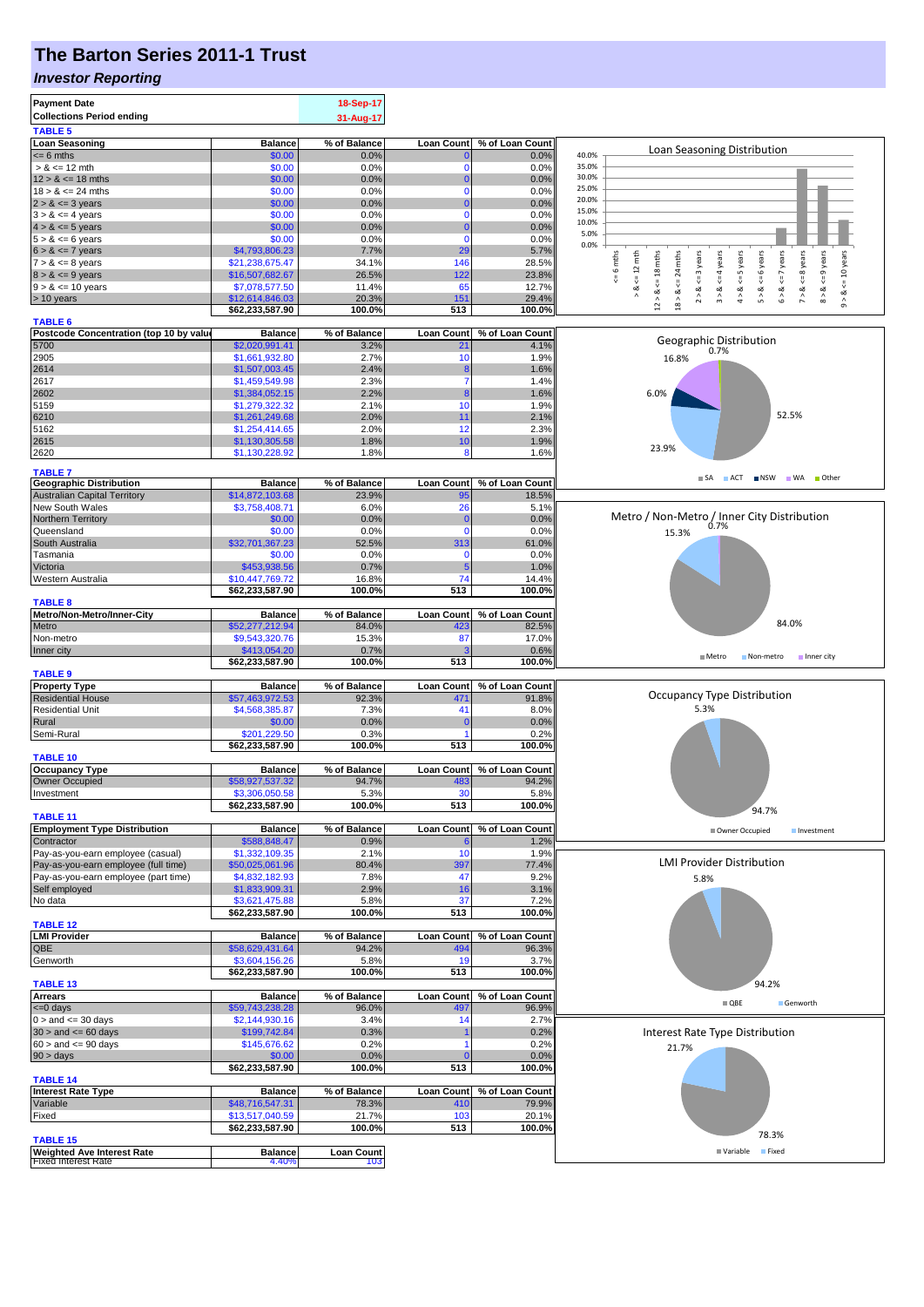## **The Barton Series 2011-1 Trust**

#### *Investor Reporting*

|                                                                 |                                  | 18-Sep-17                |                          |                            |                                                                                                                                                      |
|-----------------------------------------------------------------|----------------------------------|--------------------------|--------------------------|----------------------------|------------------------------------------------------------------------------------------------------------------------------------------------------|
| <b>Collections Period ending</b>                                |                                  | 31-Aug-17                |                          |                            |                                                                                                                                                      |
| <b>TABLE 5</b>                                                  |                                  |                          |                          |                            |                                                                                                                                                      |
| <b>Loan Seasoning</b>                                           | <b>Balance</b>                   | % of Balance             | <b>Loan Count</b>        | % of Loan Count            | Loan Seasoning Distribution                                                                                                                          |
| $= 6$ mths                                                      | \$0.00                           | 0.0%                     | $\Omega$<br>$\mathbf{0}$ | 0.0%                       | 40.0%<br>35.0%                                                                                                                                       |
| $> 8 \le 12$ mth<br>$12 > 8 \le 18$ mths                        | \$0.00<br>\$0.00                 | 0.0%<br>0.0%             | $\mathbf{0}$             | 0.0%<br>0.0%               | 30.0%                                                                                                                                                |
| $18 > 8 \le 24$ mths                                            | \$0.00                           | 0.0%                     | $\mathbf{0}$             | 0.0%                       | 25.0%                                                                                                                                                |
| $2 > 8 \le 3$ years                                             | \$0.00                           | 0.0%                     | $\mathbf{0}$             | 0.0%                       | 20.0%                                                                                                                                                |
| $3 > 8 \le 4$ years                                             | \$0.00                           | 0.0%                     | $\mathbf 0$              | 0.0%                       | 15.0%                                                                                                                                                |
| $4 > 8 \le 5$ years                                             | \$0.00                           | 0.0%                     | $\mathbf{0}$             | 0.0%                       | 10.0%                                                                                                                                                |
| $5 > 8 \le 6$ years                                             | \$0.00                           | 0.0%                     | $\mathbf{0}$             | 0.0%                       | 5.0%                                                                                                                                                 |
| $6 > 8 \le 7$ years                                             | \$4,793,806.23                   | 7.7%                     | 29                       | 5.7%                       | 0.0%                                                                                                                                                 |
| $7 > 8 \le 8$ years                                             | \$21,238,675.47                  | 34.1%                    | 146                      | 28.5%                      | mths<br>mths<br>years                                                                                                                                |
| $8 > 8 \le 9$ years                                             | \$16,507,682.67                  | 26.5%                    | 122                      | 23.8%                      | $\Leftarrow$ 12 mth<br>$\leq 9$ years<br>$\leq$ 24 mths<br>$\leq$ 4 years<br>$\leq 6$ years<br><= 7 years<br>$\circ$<br>$\varsigma=18$<br>$\leq$ = 3 |
| $9 > 8 \le 10$ years                                            | \$7,078,577.50                   | 11.4%                    | 65                       | 12.7%                      | $7 > 8 \leq 8$ years<br>$4 > 8 \leq 5$ years<br>$<=10$ years<br>2 > 8.<br>ઌૻ<br>5 > 8<br>$6 > 8$ .<br>ø<br>$\frac{8}{1}$<br>ಹ<br>œ                   |
| > 10 years                                                      | \$12,614,846.03                  | 20.3%                    | 151                      | 29.4%                      | $\wedge$<br>$\wedge$<br>$_{12}$ $\scriptstyle\!\!\!\!\!\!\!\!\!}$<br>$18 >$<br>$\hat{\circ}$<br>$\infty$                                             |
|                                                                 | \$62,233,587.90                  | 100.0%                   | 513                      | 100.0%                     |                                                                                                                                                      |
| <b>TABLE 6</b>                                                  |                                  |                          |                          |                            |                                                                                                                                                      |
| Postcode Concentration (top 10 by value<br>5700                 | <b>Balance</b><br>\$2,020,991.41 | % of Balance<br>3.2%     | <b>Loan Count</b><br>21  | % of Loan Count<br>4.1%    | Geographic Distribution                                                                                                                              |
| 2905                                                            | \$1,661,932.80                   | 2.7%                     | 10                       | 1.9%                       | 0.7%<br>16.8%                                                                                                                                        |
| 2614                                                            | \$1,507,003.45                   | 2.4%                     | 8                        | 1.6%                       |                                                                                                                                                      |
| 2617                                                            | \$1,459,549.98                   | 2.3%                     | $\overline{7}$           | 1.4%                       |                                                                                                                                                      |
| 2602                                                            | \$1,384,052.15                   | 2.2%                     | 8                        | 1.6%                       | 6.0%                                                                                                                                                 |
| 5159                                                            | \$1,279,322.32                   | 2.1%                     | 10                       | 1.9%                       |                                                                                                                                                      |
| 6210                                                            | \$1,261,249.68                   | 2.0%                     | 11                       | 2.1%                       | 52.5%                                                                                                                                                |
| 5162                                                            | \$1,254,414.65                   | 2.0%                     | 12                       | 2.3%                       |                                                                                                                                                      |
| 2615                                                            | \$1,130,305.58                   | 1.8%                     | 10                       | 1.9%                       |                                                                                                                                                      |
| 2620                                                            | \$1,130,228.92                   | 1.8%                     | 8                        | 1.6%                       | 23.9%                                                                                                                                                |
| <b>TABLE 7</b>                                                  |                                  |                          |                          |                            |                                                                                                                                                      |
| <b>Geographic Distribution</b>                                  | <b>Balance</b>                   | % of Balance             | <b>Loan Count</b>        | % of Loan Count            | SA ACT INSW WA Other                                                                                                                                 |
| <b>Australian Capital Territory</b>                             | \$14,872,103.68                  | 23.9%                    | 95                       | 18.5%                      |                                                                                                                                                      |
| <b>New South Wales</b>                                          | \$3,758,408.71                   | 6.0%                     | 26                       | 5.1%                       |                                                                                                                                                      |
| Northern Territory                                              | \$0.00                           | 0.0%                     | $\mathbf{0}$             | 0.0%                       | Metro / Non-Metro / Inner City Distribution                                                                                                          |
| Queensland                                                      | \$0.00                           | 0.0%                     | $\Omega$                 | 0.0%                       | 0.7%<br>15.3%                                                                                                                                        |
| South Australia                                                 | \$32,701,367.23                  | 52.5%                    | 313                      | 61.0%                      |                                                                                                                                                      |
| Tasmania                                                        | \$0.00                           | 0.0%                     | $\mathbf 0$              | 0.0%                       |                                                                                                                                                      |
| Victoria                                                        | \$453,938.56                     | 0.7%                     | 5                        | 1.0%                       |                                                                                                                                                      |
| Western Australia                                               | \$10,447,769.72                  | 16.8%                    | 74                       | 14.4%                      |                                                                                                                                                      |
|                                                                 | \$62,233,587.90                  | 100.0%                   | 513                      | 100.0%                     |                                                                                                                                                      |
| <b>TABLE 8</b>                                                  |                                  |                          |                          |                            |                                                                                                                                                      |
| Metro/Non-Metro/Inner-City                                      | <b>Balance</b>                   | % of Balance             | <b>Loan Count</b>        | % of Loan Count            | 84.0%                                                                                                                                                |
| Metro                                                           | \$52,277,212.94                  | 84.0%                    | 423                      | 82.5%                      |                                                                                                                                                      |
| Non-metro                                                       | \$9,543,320.76                   | 15.3%                    | 87                       | 17.0%                      |                                                                                                                                                      |
| Inner city                                                      | \$413,054.20                     | 0.7%<br>100.0%           | з<br>513                 | 0.6%<br>100.0%             | Metro<br>Non-metro<br>Inner city                                                                                                                     |
|                                                                 | \$62,233,587.90                  |                          |                          |                            |                                                                                                                                                      |
| <b>TABLE 9</b><br><b>Property Type</b>                          | <b>Balance</b>                   | % of Balance             |                          | Loan Count % of Loan Count |                                                                                                                                                      |
| <b>Residential House</b>                                        | \$57,463,972.53                  | 92.3%                    | 471                      | 91.8%                      | Occupancy Type Distribution                                                                                                                          |
| <b>Residential Unit</b>                                         | \$4,568,385.87                   | 7.3%                     | 41                       | 8.0%                       | 5.3%                                                                                                                                                 |
|                                                                 |                                  |                          |                          |                            |                                                                                                                                                      |
|                                                                 |                                  |                          | $\Omega$                 |                            |                                                                                                                                                      |
| Rural                                                           | \$0.00<br>\$201,229.50           | 0.0%<br>0.3%             |                          | 0.0%<br>0.2%               |                                                                                                                                                      |
| Semi-Rural                                                      | \$62,233,587.90                  | 100.0%                   | 513                      | 100.0%                     |                                                                                                                                                      |
| <b>TABLE 10</b>                                                 |                                  |                          |                          |                            |                                                                                                                                                      |
| <b>Occupancy Type</b>                                           | <b>Balance</b>                   | % of Balance             |                          | Loan Count % of Loan Count |                                                                                                                                                      |
| Owner Occupied                                                  | \$58,927,537.32                  | 94.7%                    | 483                      | 94.2%                      |                                                                                                                                                      |
| investment                                                      | \$3,306,050.58                   | 5.3%                     |                          | 5.8%                       |                                                                                                                                                      |
|                                                                 | \$62,233,587.90                  | 100.0%                   | 513                      | 100.0%                     |                                                                                                                                                      |
| <b>TABLE 11</b>                                                 |                                  |                          |                          |                            | 94.7%                                                                                                                                                |
| <b>Employment Type Distribution</b>                             | <b>Balance</b>                   | % of Balance             | <b>Loan Count</b>        | % of Loan Count            | Owner Occupied<br>Investment                                                                                                                         |
| Contractor                                                      | \$588,848.47                     | 0.9%                     |                          | 1.2%                       |                                                                                                                                                      |
| Pay-as-you-earn employee (casual)                               | \$1,332,109.35                   | 2.1%                     | 10                       | 1.9%                       | <b>LMI Provider Distribution</b>                                                                                                                     |
| Pay-as-you-earn employee (full time)                            | \$50,025,061.96                  | 80.4%                    | 397                      | 77.4%                      |                                                                                                                                                      |
| Pay-as-you-earn employee (part time)                            | \$4,832,182.93                   | 7.8%<br>2.9%             | 47<br>16                 | 9.2%                       | 5.8%                                                                                                                                                 |
| Self employed<br>No data                                        | \$1,833,909.31<br>\$3,621,475.88 | 5.8%                     | 37                       | 3.1%<br>7.2%               |                                                                                                                                                      |
|                                                                 | \$62,233,587.90                  | 100.0%                   | 513                      | 100.0%                     |                                                                                                                                                      |
| <b>TABLE 12</b>                                                 |                                  |                          |                          |                            |                                                                                                                                                      |
| <b>LMI Provider</b>                                             | <b>Balance</b>                   | % of Balance             | Loan Count               | % of Loan Count            |                                                                                                                                                      |
| QBE                                                             | \$58,629,431.64                  | 94.2%                    | 494                      | 96.3%                      |                                                                                                                                                      |
| Genworth                                                        | \$3,604,156.26                   | 5.8%                     | 19                       | 3.7%                       |                                                                                                                                                      |
|                                                                 | \$62,233,587.90                  | 100.0%                   | 513                      | 100.0%                     |                                                                                                                                                      |
| <b>TABLE 13</b>                                                 |                                  |                          |                          |                            | 94.2%                                                                                                                                                |
| <b>Arrears</b>                                                  | <b>Balance</b>                   | % of Balance             | <b>Loan Count</b>        | % of Loan Count            | $\blacksquare$ QBE<br>Genworth                                                                                                                       |
| <= 0 days                                                       | \$59,743,238.28                  | 96.0%                    | 497                      | 96.9%                      |                                                                                                                                                      |
| $0 >$ and $\leq$ 30 days                                        | \$2,144,930.16                   | 3.4%                     | 14                       | 2.7%                       |                                                                                                                                                      |
| $30 >$ and $\leq 60$ days                                       | \$199,742.84                     | 0.3%                     |                          | 0.2%                       | Interest Rate Type Distribution                                                                                                                      |
| $60 >$ and $\leq 90$ days                                       | \$145,676.62                     | 0.2%                     | $\Omega$                 | 0.2%                       | 21.7%                                                                                                                                                |
| 90 > days                                                       | \$0.00                           | 0.0%                     |                          | 0.0%                       |                                                                                                                                                      |
|                                                                 | \$62,233,587.90                  | 100.0%                   | 513                      | 100.0%                     |                                                                                                                                                      |
| <b>TABLE 14</b><br><b>Interest Rate Type</b>                    | <b>Balance</b>                   | % of Balance             |                          | Loan Count % of Loan Count |                                                                                                                                                      |
| Variable                                                        | \$48,716,547.31                  | 78.3%                    | 410                      | 79.9%                      |                                                                                                                                                      |
| Fixed                                                           | \$13,517,040.59                  | 21.7%                    | 103                      | 20.1%                      |                                                                                                                                                      |
|                                                                 | \$62,233,587.90                  | 100.0%                   | 513                      | 100.0%                     |                                                                                                                                                      |
| <b>TABLE 15</b>                                                 |                                  |                          |                          |                            | 78.3%                                                                                                                                                |
| <b>Weighted Ave Interest Rate</b><br><b>Fixed Interest Rate</b> | <b>Balance</b><br>4.40%          | <b>Loan Count</b><br>103 |                          |                            | <b>Fixed</b><br>■ Variable                                                                                                                           |